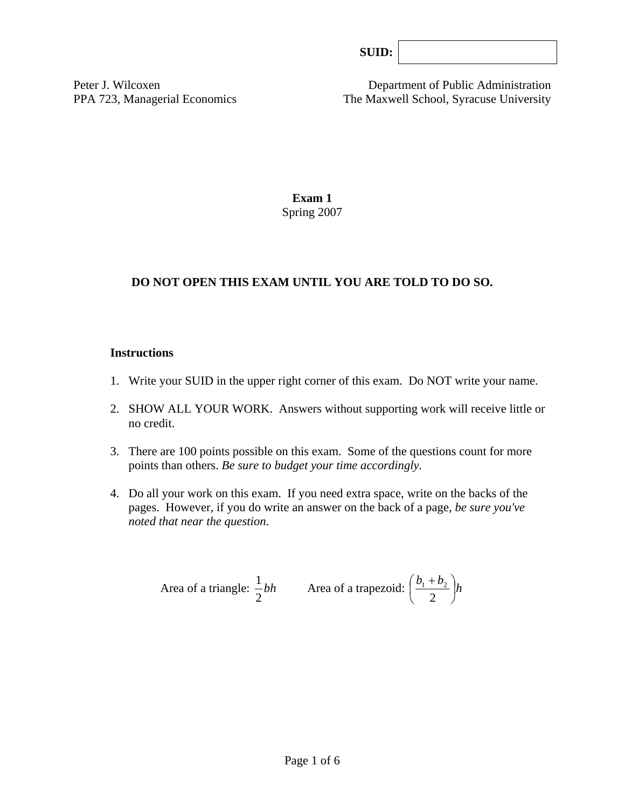Peter J. Wilcoxen Department of Public Administration PPA 723, Managerial Economics The Maxwell School, Syracuse University

> **Exam 1**  Spring 2007

## **DO NOT OPEN THIS EXAM UNTIL YOU ARE TOLD TO DO SO.**

#### **Instructions**

- 1. Write your SUID in the upper right corner of this exam. Do NOT write your name.
- 2. SHOW ALL YOUR WORK. Answers without supporting work will receive little or no credit.
- 3. There are 100 points possible on this exam. Some of the questions count for more points than others. *Be sure to budget your time accordingly.*
- 4. Do all your work on this exam. If you need extra space, write on the backs of the pages. However, if you do write an answer on the back of a page, *be sure you've noted that near the question*.

Area of a triangle: 
$$
\frac{1}{2}bh
$$
 Area of a trapezoid:  $\left(\frac{b_1 + b_2}{2}\right)h$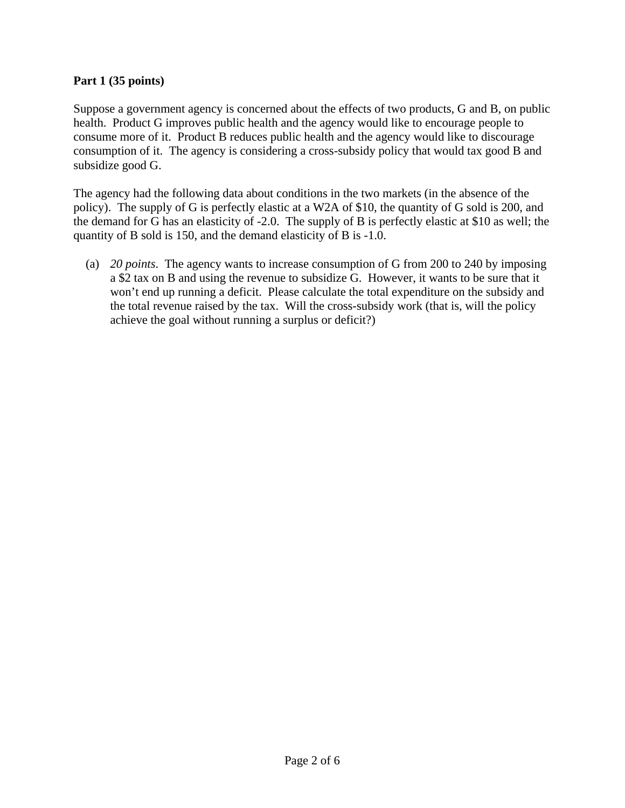## **Part 1 (35 points)**

Suppose a government agency is concerned about the effects of two products, G and B, on public health. Product G improves public health and the agency would like to encourage people to consume more of it. Product B reduces public health and the agency would like to discourage consumption of it. The agency is considering a cross-subsidy policy that would tax good B and subsidize good G.

The agency had the following data about conditions in the two markets (in the absence of the policy). The supply of G is perfectly elastic at a W2A of \$10, the quantity of G sold is 200, and the demand for G has an elasticity of -2.0. The supply of B is perfectly elastic at \$10 as well; the quantity of B sold is 150, and the demand elasticity of B is -1.0.

 (a) *20 points*. The agency wants to increase consumption of G from 200 to 240 by imposing a \$2 tax on B and using the revenue to subsidize G. However, it wants to be sure that it won't end up running a deficit. Please calculate the total expenditure on the subsidy and the total revenue raised by the tax. Will the cross-subsidy work (that is, will the policy achieve the goal without running a surplus or deficit?)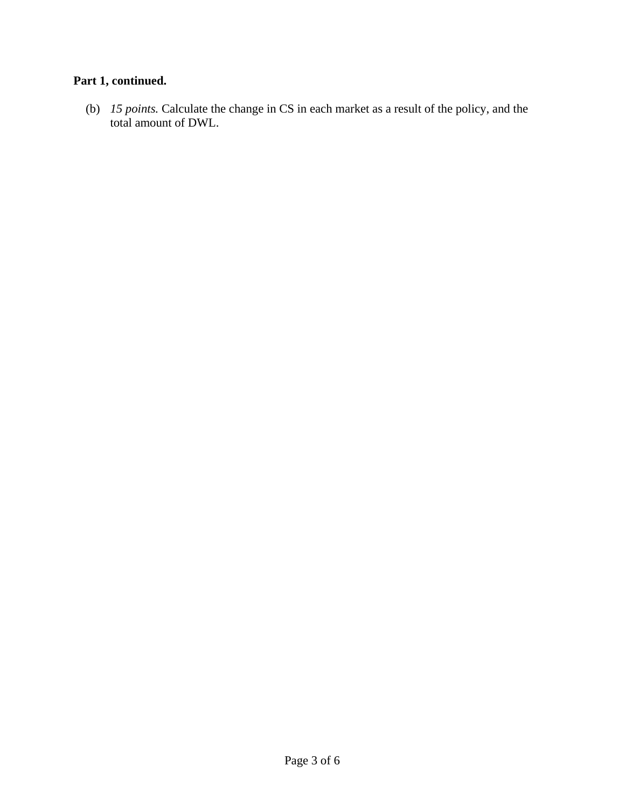# **Part 1, continued.**

 (b) *15 points.* Calculate the change in CS in each market as a result of the policy, and the total amount of DWL.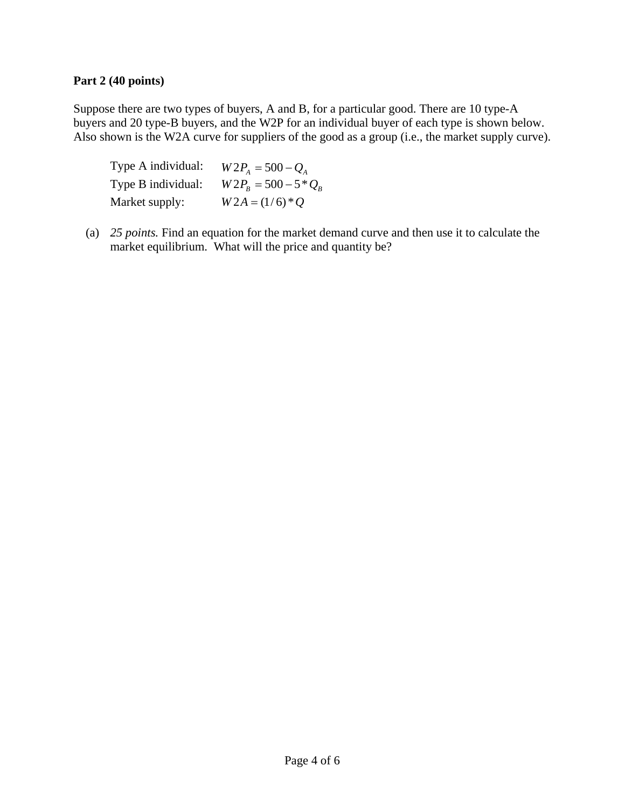### **Part 2 (40 points)**

Suppose there are two types of buyers, A and B, for a particular good. There are 10 type-A buyers and 20 type-B buyers, and the W2P for an individual buyer of each type is shown below. Also shown is the W2A curve for suppliers of the good as a group (i.e., the market supply curve).

| Type A individual: | $W2P_{4} = 500 - Q_{4}$         |
|--------------------|---------------------------------|
| Type B individual: | $W2P_{R} = 500 - 5 \cdot Q_{R}$ |
| Market supply:     | $W2A = (1/6)*Q$                 |

(a) *25 points.* Find an equation for the market demand curve and then use it to calculate the market equilibrium. What will the price and quantity be?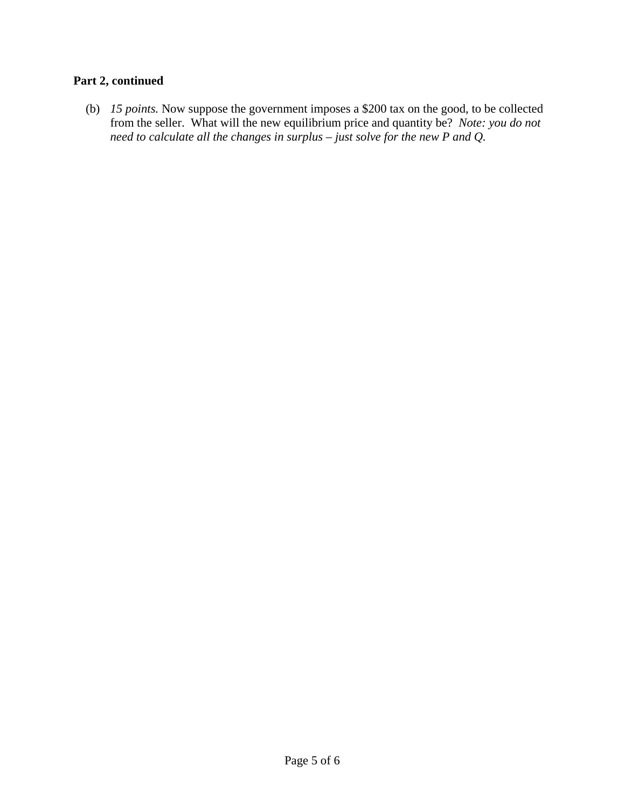# **Part 2, continued**

(b) *15 points.* Now suppose the government imposes a \$200 tax on the good, to be collected from the seller. What will the new equilibrium price and quantity be? *Note: you do not need to calculate all the changes in surplus – just solve for the new P and Q.*